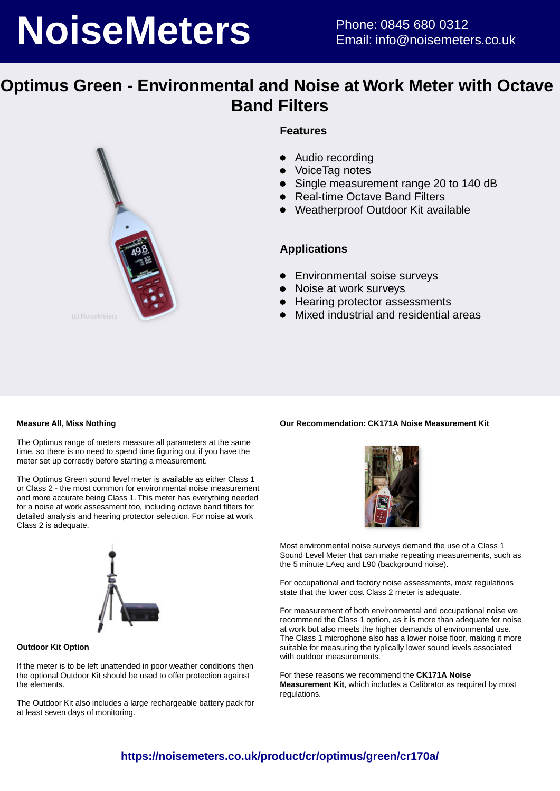# **NoiseMeters** Phone: 0845 680 0312

## **Optimus Green - Environmental and Noise at Work Meter with Octave Band Filters**



## **Features**

- $\bullet$ Audio recording
- VoiceTag notes
- Single measurement range 20 to 140 dB
- Real-time Octave Band Filters
- Weatherproof Outdoor Kit available

### **Applications**

- **•** Environmental soise surveys
- Noise at work surveys
- Hearing protector assessments
- Mixed industrial and residential areas

#### **Measure All, Miss Nothing**

The Optimus range of meters measure all parameters at the same time, so there is no need to spend time figuring out if you have the meter set up correctly before starting a measurement.

The Optimus Green sound level meter is available as either Class 1 or Class 2 - the most common for environmental noise measurement and more accurate being Class 1. This meter has everything needed for a noise at work assessment too, including octave band filters for detailed analysis and hearing protector selection. For noise at work Class 2 is adequate.



#### **Outdoor Kit Option**

If the meter is to be left unattended in poor weather conditions then the optional Outdoor Kit should be used to offer protection against the elements.

The Outdoor Kit also includes a large rechargeable battery pack for at least seven days of monitoring.

## **Our Recommendation: CK171A Noise Measurement Kit**



Most environmental noise surveys demand the use of a Class 1 Sound Level Meter that can make repeating measurements, such as the 5 minute LAeg and L90 (background noise).

For occupational and factory noise assessments, most regulations state that the lower cost Class 2 meter is adequate.

For measurement of both environmental and occupational noise we recommend the Class 1 option, as it is more than adequate for noise at work but also meets the higher demands of environmental use. The Class 1 microphone also has a lower noise floor, making it more suitable for measuring the typlically lower sound levels associated with outdoor measurements.

For these reasons we recommend the **CK171A Noise Measurement Kit**, which includes a Calibrator as required by most regulations.

## **https://noisemeters.co.uk/product/cr/optimus/green/cr170a/**